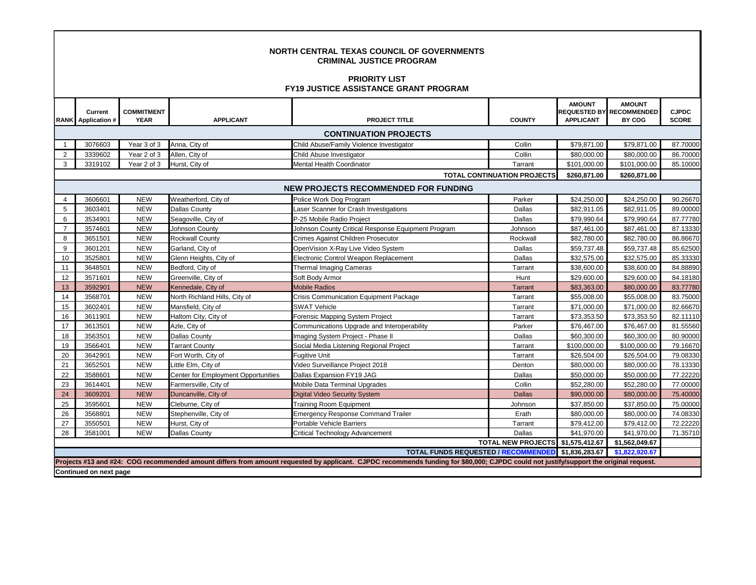| <b>NORTH CENTRAL TEXAS COUNCIL OF GOVERNMENTS</b><br><b>CRIMINAL JUSTICE PROGRAM</b><br><b>PRIORITY LIST</b><br><b>FY19 JUSTICE ASSISTANCE GRANT PROGRAM</b> |                                      |                                  |                                     |                                                                                                                                                                                       |                                    |                                   |                                                            |                              |  |  |  |  |
|--------------------------------------------------------------------------------------------------------------------------------------------------------------|--------------------------------------|----------------------------------|-------------------------------------|---------------------------------------------------------------------------------------------------------------------------------------------------------------------------------------|------------------------------------|-----------------------------------|------------------------------------------------------------|------------------------------|--|--|--|--|
|                                                                                                                                                              | Current<br><b>RANK</b> Application # | <b>COMMITMENT</b><br><b>YEAR</b> | <b>APPLICANT</b>                    | <b>PROJECT TITLE</b>                                                                                                                                                                  | <b>COUNTY</b>                      | <b>AMOUNT</b><br><b>APPLICANT</b> | <b>AMOUNT</b><br><b>REQUESTED BY RECOMMENDED</b><br>BY COG | <b>CJPDC</b><br><b>SCORE</b> |  |  |  |  |
|                                                                                                                                                              | <b>CONTINUATION PROJECTS</b>         |                                  |                                     |                                                                                                                                                                                       |                                    |                                   |                                                            |                              |  |  |  |  |
| $\overline{1}$                                                                                                                                               | 3076603                              | Year 3 of 3                      | Anna, City of                       | Child Abuse/Family Violence Investigator                                                                                                                                              | Collin                             | \$79,871.00                       | \$79,871.00                                                | 87.70000                     |  |  |  |  |
| 2                                                                                                                                                            | 3339602                              | Year 2 of 3                      | Allen, City of                      | Child Abuse Investigator                                                                                                                                                              | Collin                             | \$80,000.00                       | \$80,000.00                                                | 86.70000                     |  |  |  |  |
| 3                                                                                                                                                            | 3319102                              | Year 2 of 3                      | Hurst, City of                      | <b>Mental Health Coordinator</b>                                                                                                                                                      | Tarrant                            | \$101.000.00                      | \$101,000.00                                               | 85.10000                     |  |  |  |  |
|                                                                                                                                                              |                                      |                                  |                                     |                                                                                                                                                                                       | <b>TOTAL CONTINUATION PROJECTS</b> | \$260,871.00                      | \$260,871.00                                               |                              |  |  |  |  |
|                                                                                                                                                              | NEW PROJECTS RECOMMENDED FOR FUNDING |                                  |                                     |                                                                                                                                                                                       |                                    |                                   |                                                            |                              |  |  |  |  |
| $\overline{4}$                                                                                                                                               | 3606601                              | <b>NEW</b>                       | Weatherford, City of                | Police Work Dog Program                                                                                                                                                               | Parker                             | \$24,250.00                       | \$24,250.00                                                | 90.26670                     |  |  |  |  |
| 5                                                                                                                                                            | 3603401                              | <b>NEW</b>                       | Dallas County                       | Laser Scanner for Crash Investigations                                                                                                                                                | Dallas                             | \$82,911.05                       | \$82,911.05                                                | 89.00000                     |  |  |  |  |
| 6                                                                                                                                                            | 3534901                              | <b>NEW</b>                       | Seagoville, City of                 | P-25 Mobile Radio Project                                                                                                                                                             | Dallas                             | \$79,990.64                       | \$79,990.64                                                | 87.77780                     |  |  |  |  |
| $\overline{7}$                                                                                                                                               | 3574601                              | <b>NEW</b>                       | Johnson County                      | Johnson County Critical Response Equipment Program                                                                                                                                    | Johnson                            | \$87,461.00                       | \$87,461.00                                                | 87.13330                     |  |  |  |  |
| 8                                                                                                                                                            | 3651501                              | <b>NEW</b>                       | Rockwall County                     | Crimes Against Children Prosecutor                                                                                                                                                    | Rockwall                           | \$82,780.00                       | \$82,780.00                                                | 86.86670                     |  |  |  |  |
| 9                                                                                                                                                            | 3601201                              | <b>NEW</b>                       | Garland, City of                    | OpenVision X-Ray Live Video System                                                                                                                                                    | Dallas                             | \$59,737.48                       | \$59,737.48                                                | 85.62500                     |  |  |  |  |
| 10                                                                                                                                                           | 3525801                              | <b>NEW</b>                       | Glenn Heights, City of              | Electronic Control Weapon Replacement                                                                                                                                                 | Dallas                             | \$32,575.00                       | \$32,575.00                                                | 85.33330                     |  |  |  |  |
| 11                                                                                                                                                           | 3648501                              | <b>NEW</b>                       | Bedford, City of                    | <b>Thermal Imaging Cameras</b>                                                                                                                                                        | Tarrant                            | \$38,600.00                       | \$38,600.00                                                | 84.88890                     |  |  |  |  |
| 12                                                                                                                                                           | 3571601                              | <b>NEW</b>                       | Greenville, City of                 | Soft Body Armor                                                                                                                                                                       | Hunt                               | \$29,600.00                       | \$29,600.00                                                | 84.18180                     |  |  |  |  |
| 13                                                                                                                                                           | 3592901                              | <b>NEW</b>                       | Kennedale, City of                  | <b>Mobile Radios</b>                                                                                                                                                                  | Tarrant                            | \$83,363.00                       | \$80,000.00                                                | 83.77780                     |  |  |  |  |
| 14                                                                                                                                                           | 3568701                              | <b>NEW</b>                       | North Richland Hills, City of       | <b>Crisis Communication Equipment Package</b>                                                                                                                                         | Tarrant                            | \$55,008.00                       | \$55,008.00                                                | 83.75000                     |  |  |  |  |
| 15                                                                                                                                                           | 3602401                              | <b>NEW</b>                       | Mansfield, City of                  | <b>SWAT Vehicle</b>                                                                                                                                                                   | Tarrant                            | \$71,000.00                       | \$71,000.00                                                | 82.66670                     |  |  |  |  |
| 16                                                                                                                                                           | 3611901                              | <b>NEW</b>                       | Haltom City, City of                | Forensic Mapping System Project                                                                                                                                                       | Tarrant                            | \$73,353.50                       | \$73,353.50                                                | 82.11110                     |  |  |  |  |
| 17                                                                                                                                                           | 3613501                              | <b>NEW</b>                       | Azle, City of                       | Communications Upgrade and Interoperability                                                                                                                                           | Parker                             | \$76,467.00                       | \$76,467.00                                                | 81.55560                     |  |  |  |  |
| 18                                                                                                                                                           | 3563501                              | <b>NEW</b>                       | <b>Dallas County</b>                | Imaging System Project - Phase II                                                                                                                                                     | Dallas                             | \$60,300.00                       | \$60,300.00                                                | 80.90000                     |  |  |  |  |
| 19                                                                                                                                                           | 3566401                              | <b>NEW</b>                       | <b>Tarrant County</b>               | Social Media Listening Regional Project                                                                                                                                               | Tarrant                            | \$100,000.00                      | \$100,000.00                                               | 79.16670                     |  |  |  |  |
| 20                                                                                                                                                           | 3642901                              | <b>NEW</b>                       | Fort Worth, City of                 | Fugitive Unit                                                                                                                                                                         | Tarrant                            | \$26,504.00                       | \$26,504.00                                                | 79.08330                     |  |  |  |  |
| 21                                                                                                                                                           | 3652501                              | <b>NEW</b>                       | Little Elm, City of                 | Video Surveillance Project 2018                                                                                                                                                       | Denton                             | \$80,000.00                       | \$80,000.00                                                | 78.13330                     |  |  |  |  |
| 22                                                                                                                                                           | 3588601                              | <b>NEW</b>                       | Center for Employment Opportunities | Dallas Expansion FY19 JAG                                                                                                                                                             | Dallas                             | \$50,000.00                       | \$50,000.00                                                | 77.22220                     |  |  |  |  |
| 23                                                                                                                                                           | 3614401                              | <b>NEW</b>                       | Farmersville, City of               | Mobile Data Terminal Upgrades                                                                                                                                                         | Collin                             | \$52,280.00                       | \$52,280.00                                                | 77.00000                     |  |  |  |  |
| 24                                                                                                                                                           | 3609201                              | <b>NEW</b>                       | Duncanville, City of                | <b>Digital Video Security System</b>                                                                                                                                                  | <b>Dallas</b>                      | \$90,000.00                       | \$80,000.00                                                | 75.40000                     |  |  |  |  |
| 25                                                                                                                                                           | 3595601                              | <b>NEW</b>                       | Cleburne, City of                   | <b>Training Room Equipment</b>                                                                                                                                                        | Johnson                            | \$37,850.00                       | \$37,850.00                                                | 75.00000                     |  |  |  |  |
| 26                                                                                                                                                           | 3568801                              | <b>NEW</b>                       | Stephenville, City of               | <b>Emergency Response Command Trailer</b>                                                                                                                                             | Erath                              | \$80,000.00                       | \$80,000.00                                                | 74.08330                     |  |  |  |  |
| 27                                                                                                                                                           | 3550501                              | <b>NEW</b>                       | Hurst, City of                      | Portable Vehicle Barriers                                                                                                                                                             | Tarrant                            | \$79,412.00                       | \$79,412.00                                                | 72.22220                     |  |  |  |  |
| 28                                                                                                                                                           | 3581001                              | <b>NEW</b>                       | Dallas County                       | Critical Technology Advancement                                                                                                                                                       | Dallas                             | \$41,970.00                       | \$41,970.00                                                | 71.35710                     |  |  |  |  |
|                                                                                                                                                              |                                      |                                  |                                     |                                                                                                                                                                                       | TOTAL NEW PROJECTS \$1,575,412.67  |                                   | \$1,562,049.67                                             |                              |  |  |  |  |
| <b>TOTAL FUNDS REQUESTED / RECOMMENDED</b>                                                                                                                   |                                      |                                  |                                     |                                                                                                                                                                                       |                                    |                                   | \$1,822,920.67                                             |                              |  |  |  |  |
|                                                                                                                                                              |                                      |                                  |                                     | Projects #13 and #24: COG recommended amount differs from amount requested by applicant. CJPDC recommends funding for \$80,000; CJPDC could not justify/support the original request. |                                    |                                   |                                                            |                              |  |  |  |  |
|                                                                                                                                                              | Continued on next page               |                                  |                                     |                                                                                                                                                                                       |                                    |                                   |                                                            |                              |  |  |  |  |

Г